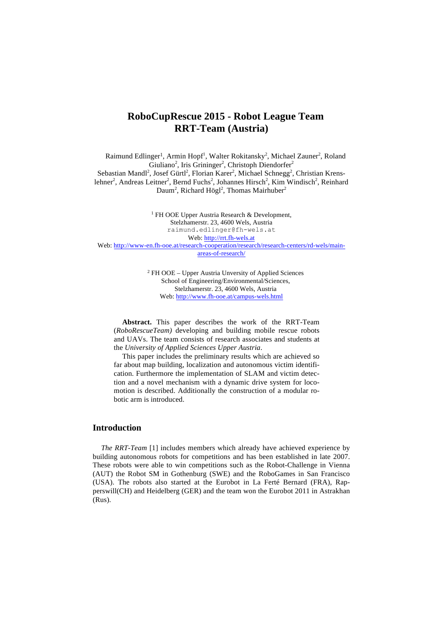# **RoboCupRescue 2015 - Robot League Team RRT-Team (Austria)**

Raimund Edlinger<sup>1</sup>, Armin Hopf<sup>1</sup>, Walter Rokitansky<sup>2</sup>, Michael Zauner<sup>2</sup>, Roland Giuliano<sup>2</sup>, Iris Grininger<sup>2</sup>, Christoph Diendorfer<sup>2</sup> Sebastian Mandl<sup>2</sup>, Josef Gürtl<sup>2</sup>, Florian Karer<sup>2</sup>, Michael Schnegg<sup>2</sup>, Christian Krenslehner<sup>2</sup>, Andreas Leitner<sup>2</sup>, Bernd Fuchs<sup>2</sup>, Johannes Hirsch<sup>2</sup>, Kim Windisch<sup>2</sup>, Reinhard Daum<sup>2</sup>, Richard Högl<sup>2</sup>, Thomas Mairhuber<sup>2</sup>

<sup>1</sup> FH OOE Upper Austria Research  $\&$  Development, Stelzhamerstr. 23, 4600 Wels, Austria raimund.edlinger@fh-wels.at Web: http://rrt.fh-wels.at Web: http://www-en.fh-ooe.at/research-cooperation/research/research-centers/rd-wels/mainareas-of-research/

> <sup>2</sup> FH OOE – Upper Austria Unversity of Applied Sciences School of Engineering/Environmental/Sciences, Stelzhamerstr. 23, 4600 Wels, Austria Web: http://www.fh-ooe.at/campus-wels.html

**Abstract.** This paper describes the work of the RRT-Team (*RoboRescueTeam)* developing and building mobile rescue robots and UAVs. The team consists of research associates and students at the *University of Applied Sciences Upper Austria*.

This paper includes the preliminary results which are achieved so far about map building, localization and autonomous victim identification. Furthermore the implementation of SLAM and victim detection and a novel mechanism with a dynamic drive system for locomotion is described. Additionally the construction of a modular robotic arm is introduced.

## **Introduction**

*The RRT-Team* [1] includes members which already have achieved experience by building autonomous robots for competitions and has been established in late 2007. These robots were able to win competitions such as the Robot-Challenge in Vienna (AUT) the Robot SM in Gothenburg (SWE) and the RoboGames in San Francisco (USA). The robots also started at the Eurobot in La Ferté Bernard (FRA), Rapperswill(CH) and Heidelberg (GER) and the team won the Eurobot 2011 in Astrakhan (Rus).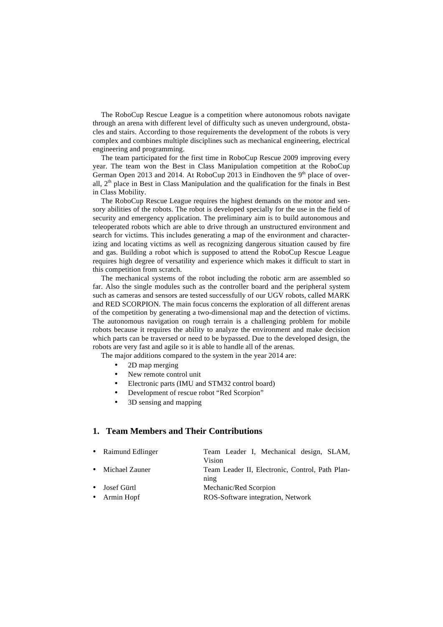The RoboCup Rescue League is a competition where autonomous robots navigate through an arena with different level of difficulty such as uneven underground, obstacles and stairs. According to those requirements the development of the robots is very complex and combines multiple disciplines such as mechanical engineering, electrical engineering and programming.

The team participated for the first time in RoboCup Rescue 2009 improving every year. The team won the Best in Class Manipulation competition at the RoboCup German Open 2013 and 2014. At RoboCup 2013 in Eindhoven the  $9<sup>th</sup>$  place of overall, 2<sup>th</sup> place in Best in Class Manipulation and the qualification for the finals in Best in Class Mobility.

The RoboCup Rescue League requires the highest demands on the motor and sensory abilities of the robots. The robot is developed specially for the use in the field of security and emergency application. The preliminary aim is to build autonomous and teleoperated robots which are able to drive through an unstructured environment and search for victims. This includes generating a map of the environment and characterizing and locating victims as well as recognizing dangerous situation caused by fire and gas. Building a robot which is supposed to attend the RoboCup Rescue League requires high degree of versatility and experience which makes it difficult to start in this competition from scratch.

The mechanical systems of the robot including the robotic arm are assembled so far. Also the single modules such as the controller board and the peripheral system such as cameras and sensors are tested successfully of our UGV robots, called MARK and RED SCORPION. The main focus concerns the exploration of all different arenas of the competition by generating a two-dimensional map and the detection of victims. The autonomous navigation on rough terrain is a challenging problem for mobile robots because it requires the ability to analyze the environment and make decision which parts can be traversed or need to be bypassed. Due to the developed design, the robots are very fast and agile so it is able to handle all of the arenas.

The major additions compared to the system in the year 2014 are:

- 2D map merging
- New remote control unit
- Electronic parts (IMU and STM32 control board)
- Development of rescue robot "Red Scorpion"
- 3D sensing and mapping

## **1. Team Members and Their Contributions**

| • Raimund Edlinger | Team Leader I, Mechanical design, SLAM,         |  |
|--------------------|-------------------------------------------------|--|
|                    | Vision                                          |  |
| • Michael Zauner   | Team Leader II, Electronic, Control, Path Plan- |  |
|                    | $\sin \theta$                                   |  |
| • Josef Gürtl      | Mechanic/Red Scorpion                           |  |
| • Armin Hopf       | ROS-Software integration, Network               |  |
|                    |                                                 |  |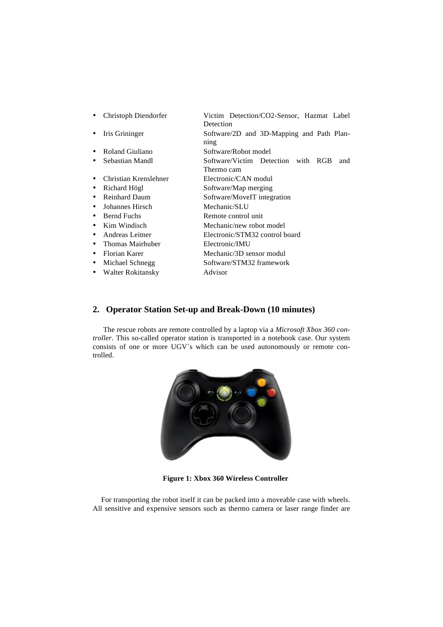| Christoph Diendorfer  | Victim Detection/CO2-Sensor, Hazmat Label<br>Detection  |  |  |
|-----------------------|---------------------------------------------------------|--|--|
| Iris Grininger<br>٠   | Software/2D and 3D-Mapping and Path Plan-<br>ning       |  |  |
| Roland Giuliano       | Software/Robot model                                    |  |  |
| Sebastian Mandl       | Software/Victim Detection with RGB<br>and<br>Thermo cam |  |  |
| Christian Krenslehner | Electronic/CAN modul                                    |  |  |
| Richard Högl<br>٠     | Software/Map merging                                    |  |  |
| <b>Reinhard Daum</b>  | Software/MoveIT integration                             |  |  |
| Johannes Hirsch       | Mechanic/SLU                                            |  |  |
| <b>Bernd Fuchs</b>    | Remote control unit                                     |  |  |
| Kim Windisch          | Mechanic/new robot model                                |  |  |
| Andreas Leitner       | Electronic/STM32 control board                          |  |  |
| Thomas Mairhuber      | Electronic/IMU                                          |  |  |
| Florian Karer<br>٠    | Mechanic/3D sensor modul                                |  |  |
| Michael Schnegg<br>٠  | Software/STM32 framework                                |  |  |
| Walter Rokitansky     | Advisor                                                 |  |  |

# **2. Operator Station Set-up and Break-Down (10 minutes)**

The rescue robots are remote controlled by a laptop via a *Microsoft Xbox 360 controller*. This so-called operator station is transported in a notebook case. Our system consists of one or more UGV`s which can be used autonomously or remote controlled.



**Figure 1: Xbox 360 Wireless Controller**

For transporting the robot itself it can be packed into a moveable case with wheels. All sensitive and expensive sensors such as thermo camera or laser range finder are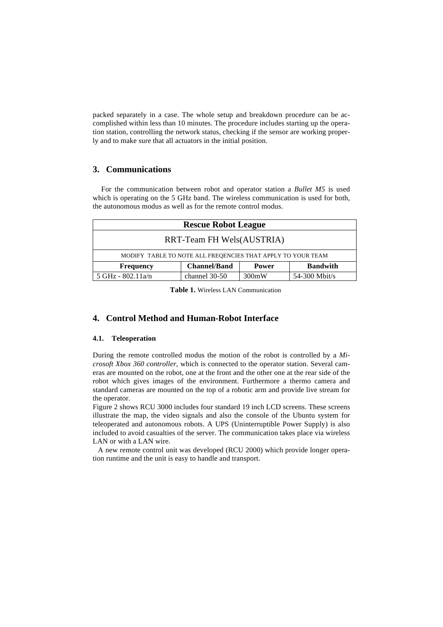packed separately in a case. The whole setup and breakdown procedure can be accomplished within less than 10 minutes. The procedure includes starting up the operation station, controlling the network status, checking if the sensor are working properly and to make sure that all actuators in the initial position.

## **3. Communications**

For the communication between robot and operator station a *Bullet M5* is used which is operating on the 5 GHz band. The wireless communication is used for both, the autonomous modus as well as for the remote control modus.

| <b>Rescue Robot League</b>                                  |                     |              |                 |
|-------------------------------------------------------------|---------------------|--------------|-----------------|
| RRT-Team FH Wels(AUSTRIA)                                   |                     |              |                 |
| MODIFY TABLE TO NOTE ALL FREQENCIES THAT APPLY TO YOUR TEAM |                     |              |                 |
| <b>Frequency</b>                                            | <b>Channel/Band</b> | <b>Power</b> | <b>Bandwith</b> |
| 5 GHz - $802.11a/n$                                         | channel 30-50       | 300mW        | 54-300 Mbit/s   |

**Table 1.** Wireless LAN Communication

# **4. Control Method and Human-Robot Interface**

#### **4.1. Teleoperation**

During the remote controlled modus the motion of the robot is controlled by a *Microsoft Xbox 360 controller,* which is connected to the operator station. Several cameras are mounted on the robot, one at the front and the other one at the rear side of the robot which gives images of the environment. Furthermore a thermo camera and standard cameras are mounted on the top of a robotic arm and provide live stream for the operator.

Figure 2 shows RCU 3000 includes four standard 19 inch LCD screens. These screens illustrate the map, the video signals and also the console of the Ubuntu system for teleoperated and autonomous robots. A UPS (Uninterruptible Power Supply) is also included to avoid casualties of the server. The communication takes place via wireless LAN or with a LAN wire.

A new remote control unit was developed (RCU 2000) which provide longer operation runtime and the unit is easy to handle and transport.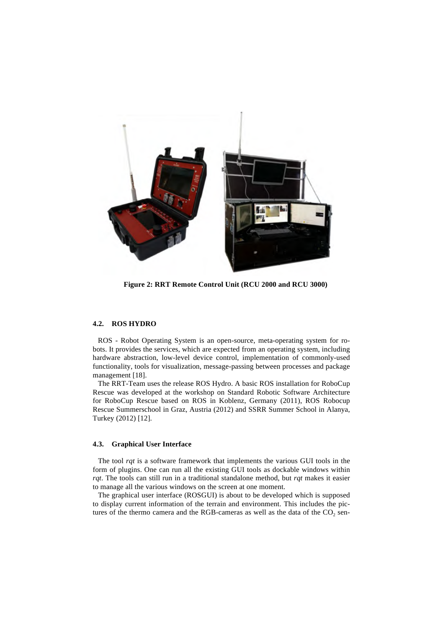

**Figure 2: RRT Remote Control Unit (RCU 2000 and RCU 3000)**

#### **4.2. ROS HYDRO**

ROS - Robot Operating System is an open-source, meta-operating system for robots. It provides the services, which are expected from an operating system, including hardware abstraction, low-level device control, implementation of commonly-used functionality, tools for visualization, message-passing between processes and package management [18].

The RRT-Team uses the release ROS Hydro. A basic ROS installation for RoboCup Rescue was developed at the workshop on Standard Robotic Software Architecture for RoboCup Rescue based on ROS in Koblenz, Germany (2011), ROS Robocup Rescue Summerschool in Graz, Austria (2012) and SSRR Summer School in Alanya, Turkey (2012) [12].

#### **4.3. Graphical User Interface**

The tool *rqt* is a software framework that implements the various GUI tools in the form of plugins. One can run all the existing GUI tools as dockable windows within *rqt*. The tools can still run in a traditional standalone method, but *rqt* makes it easier to manage all the various windows on the screen at one moment.

The graphical user interface (ROSGUI) is about to be developed which is supposed to display current information of the terrain and environment. This includes the pictures of the thermo camera and the RGB-cameras as well as the data of the  $CO<sub>2</sub>$  sen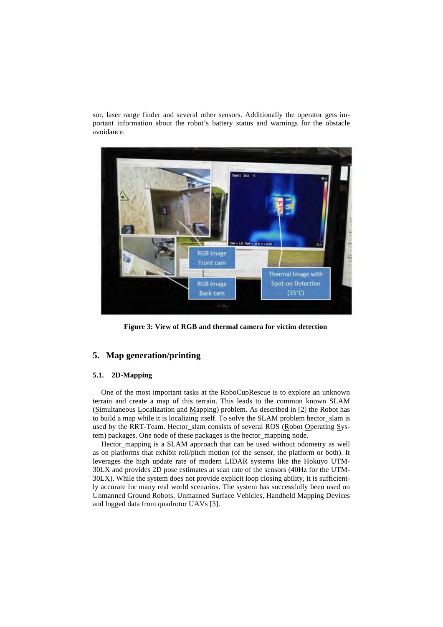sor, laser range finder and several other sensors. Additionally the operator gets important information about the robot's battery status and warnings for the obstacle avoidance.



**Figure 3: View of RGB and thermal camera for victim detection**

## **5. Map generation/printing**

#### **5.1. 2D-Mapping**

One of the most important tasks at the RoboCupRescue is to explore an unknown terrain and create a map of this terrain. This leads to the common known SLAM (Simultaneous Localization and Mapping) problem. As described in [2] the Robot has to build a map while it is localizing itself. To solve the SLAM problem hector\_slam is used by the RRT-Team. Hector\_slam consists of several ROS (Robot Operating System) packages. One node of these packages is the hector\_mapping node.

Hector\_mapping is a SLAM approach that can be used without odometry as well as on platforms that exhibit roll/pitch motion (of the sensor, the platform or both). It leverages the high update rate of modern LIDAR systems like the Hokuyo UTM-30LX and provides 2D pose estimates at scan rate of the sensors (40Hz for the UTM-30LX). While the system does not provide explicit loop closing ability, it is sufficiently accurate for many real world scenarios. The system has successfully been used on Unmanned Ground Robots, Unmanned Surface Vehicles, Handheld Mapping Devices and logged data from quadrotor UAVs [3].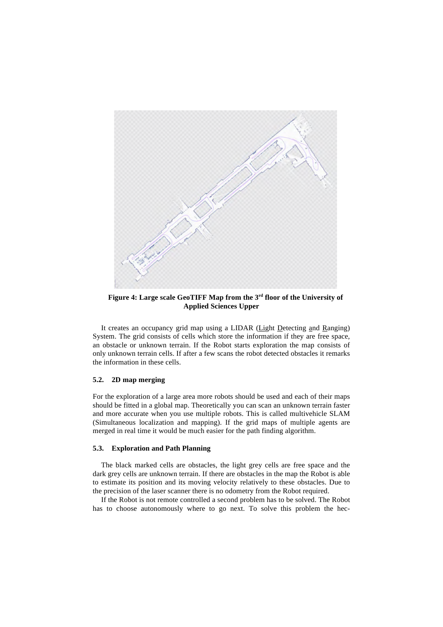

**Figure 4: Large scale GeoTIFF Map from the 3rd floor of the University of Applied Sciences Upper**

It creates an occupancy grid map using a LIDAR (Light Detecting and Ranging) System. The grid consists of cells which store the information if they are free space, an obstacle or unknown terrain. If the Robot starts exploration the map consists of only unknown terrain cells. If after a few scans the robot detected obstacles it remarks the information in these cells.

## **5.2. 2D map merging**

For the exploration of a large area more robots should be used and each of their maps should be fitted in a global map. Theoretically you can scan an unknown terrain faster and more accurate when you use multiple robots. This is called multivehicle SLAM (Simultaneous localization and mapping). If the grid maps of multiple agents are merged in real time it would be much easier for the path finding algorithm.

#### **5.3. Exploration and Path Planning**

The black marked cells are obstacles, the light grey cells are free space and the dark grey cells are unknown terrain. If there are obstacles in the map the Robot is able to estimate its position and its moving velocity relatively to these obstacles. Due to the precision of the laser scanner there is no odometry from the Robot required.

If the Robot is not remote controlled a second problem has to be solved. The Robot has to choose autonomously where to go next. To solve this problem the hec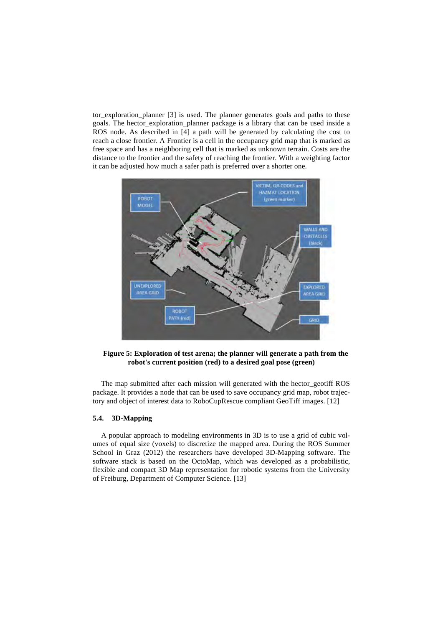tor exploration planner [3] is used. The planner generates goals and paths to these goals. The hector\_exploration\_planner package is a library that can be used inside a ROS node. As described in [4] a path will be generated by calculating the cost to reach a close frontier. A Frontier is a cell in the occupancy grid map that is marked as free space and has a neighboring cell that is marked as unknown terrain. Costs are the distance to the frontier and the safety of reaching the frontier. With a weighting factor it can be adjusted how much a safer path is preferred over a shorter one.



**Figure 5: Exploration of test arena; the planner will generate a path from the robot's current position (red) to a desired goal pose (green)**

The map submitted after each mission will generated with the hector\_geotiff ROS package. It provides a node that can be used to save occupancy grid map, robot trajectory and object of interest data to RoboCupRescue compliant GeoTiff images. [12]

## **5.4. 3D-Mapping**

A popular approach to modeling environments in 3D is to use a grid of cubic volumes of equal size (voxels) to discretize the mapped area. During the ROS Summer School in Graz (2012) the researchers have developed 3D-Mapping software. The software stack is based on the OctoMap, which was developed as a probabilistic, flexible and compact 3D Map representation for robotic systems from the University of Freiburg, Department of Computer Science. [13]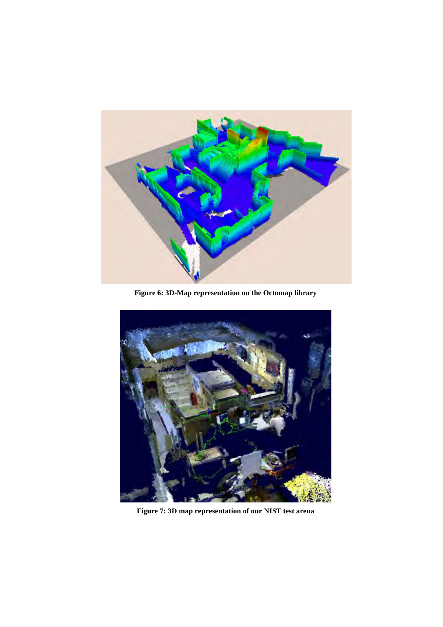

**Figure 6: 3D-Map representation on the Octomap library**



**Figure 7: 3D map representation of our NIST test arena**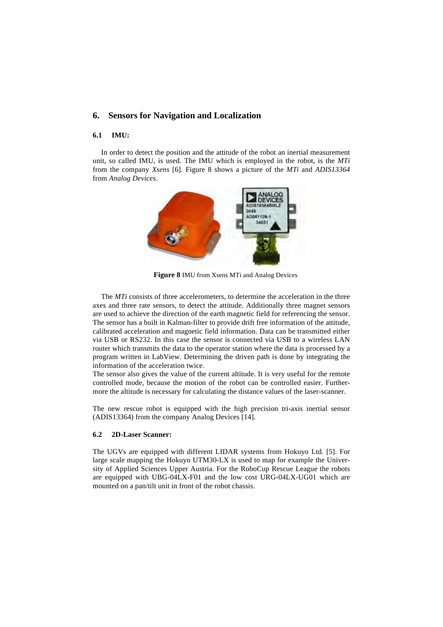## **6. Sensors for Navigation and Localization**

#### **6.1 IMU:**

In order to detect the position and the attitude of the robot an inertial measurement unit, so called IMU, is used. The IMU which is employed in the robot, is the *MTi* from the company *Xsens* [6]. Figure 8 shows a picture of the *MTi* and *ADIS13364* from *Analog Devices*.



**Figure 8** IMU from Xsens MTi and Analog Devices

The *MTi* consists of three accelerometers, to determine the acceleration in the three axes and three rate sensors, to detect the attitude. Additionally three magnet sensors are used to achieve the direction of the earth magnetic field for referencing the sensor. The sensor has a built in Kalman-filter to provide drift free information of the attitude, calibrated acceleration and magnetic field information. Data can be transmitted either via USB or RS232. In this case the sensor is connected via USB to a wireless LAN router which transmits the data to the operator station where the data is processed by a program written in LabView. Determining the driven path is done by integrating the information of the acceleration twice.

The sensor also gives the value of the current altitude. It is very useful for the remote controlled mode, because the motion of the robot can be controlled easier. Furthermore the altitude is necessary for calculating the distance values of the laser-scanner.

The new rescue robot is equipped with the high precision tri-axis inertial sensor (ADIS13364) from the company Analog Devices [14].

## **6.2 2D-Laser Scanner:**

The UGVs are equipped with different LIDAR systems from Hokuyo Ltd. [5]. For large scale mapping the Hokuyo UTM30-LX is used to map for example the University of Applied Sciences Upper Austria. For the RoboCup Rescue League the robots are equipped with UBG-04LX-F01 and the low cost URG-04LX-UG01 which are mounted on a pan/tilt unit in front of the robot chassis.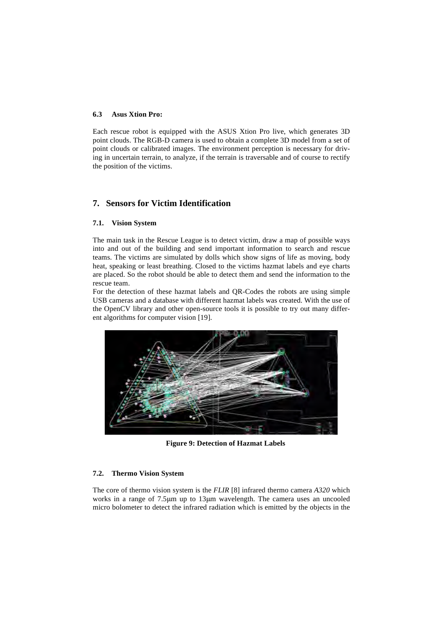#### **6.3 Asus Xtion Pro:**

Each rescue robot is equipped with the ASUS Xtion Pro live, which generates 3D point clouds. The RGB-D camera is used to obtain a complete 3D model from a set of point clouds or calibrated images. The environment perception is necessary for driving in uncertain terrain, to analyze, if the terrain is traversable and of course to rectify the position of the victims.

## **7. Sensors for Victim Identification**

#### **7.1. Vision System**

The main task in the Rescue League is to detect victim, draw a map of possible ways into and out of the building and send important information to search and rescue teams. The victims are simulated by dolls which show signs of life as moving, body heat, speaking or least breathing. Closed to the victims hazmat labels and eye charts are placed. So the robot should be able to detect them and send the information to the rescue team.

For the detection of these hazmat labels and QR-Codes the robots are using simple USB cameras and a database with different hazmat labels was created. With the use of the OpenCV library and other open-source tools it is possible to try out many different algorithms for computer vision [19].



**Figure 9: Detection of Hazmat Labels**

#### **7.2. Thermo Vision System**

The core of thermo vision system is the *FLIR* [8] infrared thermo camera *A320* which works in a range of 7.5μm up to 13μm wavelength. The camera uses an uncooled micro bolometer to detect the infrared radiation which is emitted by the objects in the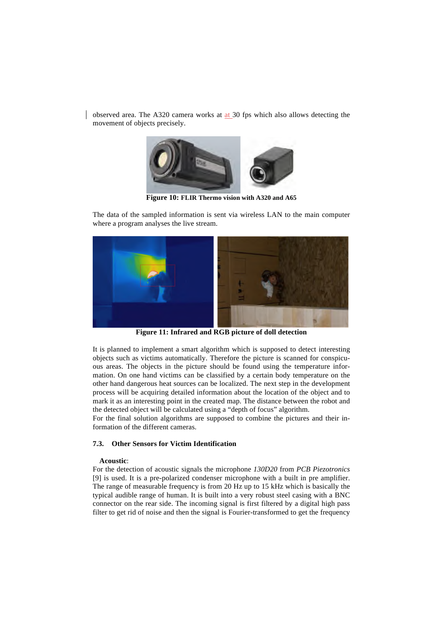observed area. The A320 camera works at at 30 fps which also allows detecting the movement of objects precisely.



**Figure 10: FLIR Thermo vision with A320 and A65**

The data of the sampled information is sent via wireless LAN to the main computer where a program analyses the live stream.



**Figure 11: Infrared and RGB picture of doll detection**

It is planned to implement a smart algorithm which is supposed to detect interesting objects such as victims automatically. Therefore the picture is scanned for conspicuous areas. The objects in the picture should be found using the temperature information. On one hand victims can be classified by a certain body temperature on the other hand dangerous heat sources can be localized. The next step in the development process will be acquiring detailed information about the location of the object and to mark it as an interesting point in the created map. The distance between the robot and the detected object will be calculated using a "depth of focus" algorithm.

For the final solution algorithms are supposed to combine the pictures and their information of the different cameras.

## **7.3. Other Sensors for Victim Identification**

#### **Acoustic**:

For the detection of acoustic signals the microphone *130D20* from *PCB Piezotronics* [9] is used. It is a pre-polarized condenser microphone with a built in pre amplifier. The range of measurable frequency is from 20 Hz up to 15 kHz which is basically the typical audible range of human. It is built into a very robust steel casing with a BNC connector on the rear side. The incoming signal is first filtered by a digital high pass filter to get rid of noise and then the signal is Fourier-transformed to get the frequency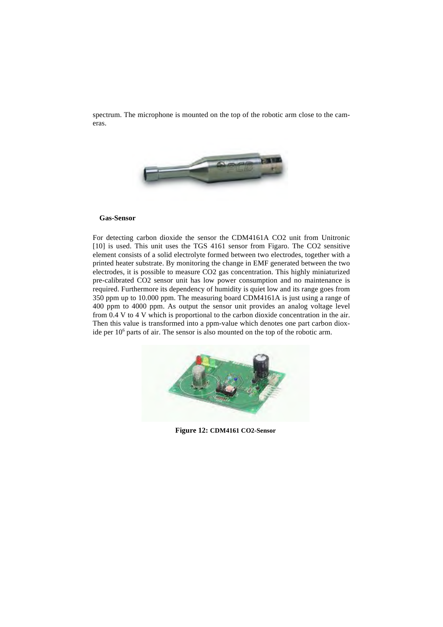spectrum. The microphone is mounted on the top of the robotic arm close to the cameras.



#### **Gas-Sensor**

For detecting carbon dioxide the sensor the CDM4161A CO2 unit from Unitronic [10] is used. This unit uses the TGS 4161 sensor from Figaro. The CO2 sensitive element consists of a solid electrolyte formed between two electrodes, together with a printed heater substrate. By monitoring the change in EMF generated between the two electrodes, it is possible to measure CO2 gas concentration. This highly miniaturized pre-calibrated CO2 sensor unit has low power consumption and no maintenance is required. Furthermore its dependency of humidity is quiet low and its range goes from 350 ppm up to 10.000 ppm. The measuring board CDM4161A is just using a range of 400 ppm to 4000 ppm. As output the sensor unit provides an analog voltage level from 0.4 V to 4 V which is proportional to the carbon dioxide concentration in the air. Then this value is transformed into a ppm-value which denotes one part carbon dioxide per  $10<sup>6</sup>$  parts of air. The sensor is also mounted on the top of the robotic arm.



**Figure 12: CDM4161 CO2-Sensor**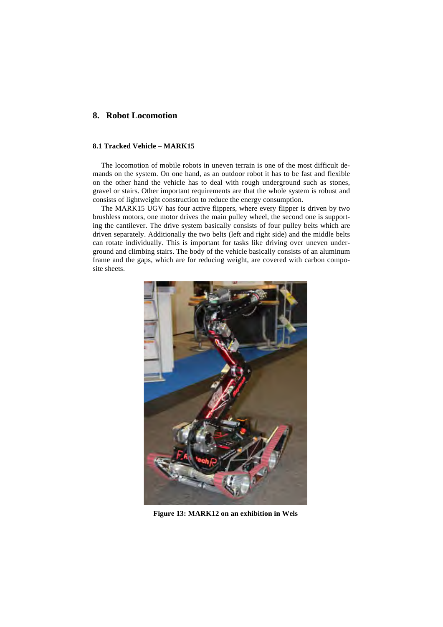## **8. Robot Locomotion**

## **8.1 Tracked Vehicle – MARK15**

The locomotion of mobile robots in uneven terrain is one of the most difficult demands on the system. On one hand, as an outdoor robot it has to be fast and flexible on the other hand the vehicle has to deal with rough underground such as stones, gravel or stairs. Other important requirements are that the whole system is robust and consists of lightweight construction to reduce the energy consumption.

The MARK15 UGV has four active flippers, where every flipper is driven by two brushless motors, one motor drives the main pulley wheel, the second one is supporting the cantilever. The drive system basically consists of four pulley belts which are driven separately. Additionally the two belts (left and right side) and the middle belts can rotate individually. This is important for tasks like driving over uneven underground and climbing stairs. The body of the vehicle basically consists of an aluminum frame and the gaps, which are for reducing weight, are covered with carbon composite sheets.



**Figure 13: MARK12 on an exhibition in Wels**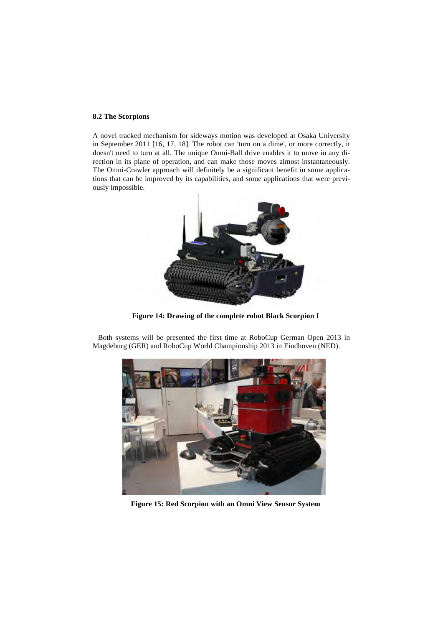#### **8.2 The Scorpions**

A novel tracked mechanism for sideways motion was developed at Osaka University in September 2011 [16, 17, 18]. The robot can 'turn on a dime', or more correctly, it doesn't need to turn at all. The unique Omni-Ball drive enables it to move in any direction in its plane of operation, and can make those moves almost instantaneously. The Omni-Crawler approach will definitely be a significant benefit in some applications that can be improved by its capabilities, and some applications that were previously impossible.



**Figure 14: Drawing of the complete robot Black Scorpion I**

Both systems will be presented the first time at RoboCup German Open 2013 in Magdeburg (GER) and RoboCup World Championship 2013 in Eindhoven (NED).



**Figure 15: Red Scorpion with an Omni View Sensor System**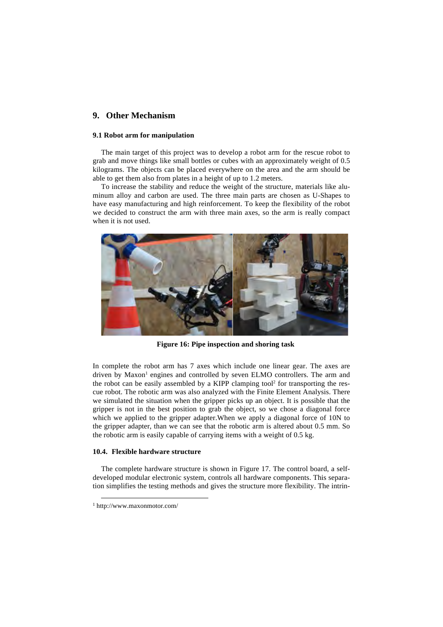## **9. Other Mechanism**

#### **9.1 Robot arm for manipulation**

The main target of this project was to develop a robot arm for the rescue robot to grab and move things like small bottles or cubes with an approximately weight of 0.5 kilograms. The objects can be placed everywhere on the area and the arm should be able to get them also from plates in a height of up to 1.2 meters.

To increase the stability and reduce the weight of the structure, materials like aluminum alloy and carbon are used. The three main parts are chosen as U-Shapes to have easy manufacturing and high reinforcement. To keep the flexibility of the robot we decided to construct the arm with three main axes, so the arm is really compact when it is not used.



**Figure 16: Pipe inspection and shoring task**

In complete the robot arm has 7 axes which include one linear gear. The axes are driven by Maxon<sup>1</sup> engines and controlled by seven ELMO controllers. The arm and the robot can be easily assembled by a KIPP clamping tool<sup>2</sup> for transporting the rescue robot. The robotic arm was also analyzed with the Finite Element Analysis. There we simulated the situation when the gripper picks up an object. It is possible that the gripper is not in the best position to grab the object, so we chose a diagonal force which we applied to the gripper adapter.When we apply a diagonal force of 10N to the gripper adapter, than we can see that the robotic arm is altered about 0.5 mm. So the robotic arm is easily capable of carrying items with a weight of 0.5 kg.

#### **10.4. Flexible hardware structure**

The complete hardware structure is shown in Figure 17. The control board, a selfdeveloped modular electronic system, controls all hardware components. This separation simplifies the testing methods and gives the structure more flexibility. The intrin-

 <sup>1</sup> http://www.maxonmotor.com/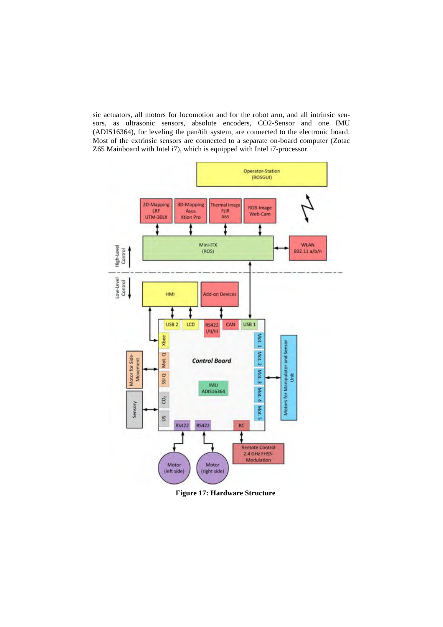sic actuators, all motors for locomotion and for the robot arm, and all intrinsic sensors, as ultrasonic sensors, absolute encoders, CO2-Sensor and one IMU (ADIS16364), for leveling the pan/tilt system, are connected to the electronic board. Most of the extrinsic sensors are connected to a separate on-board computer (Zotac Z65 Mainboard with Intel i7), which is equipped with Intel i7-processor.



**Figure 17: Hardware Structure**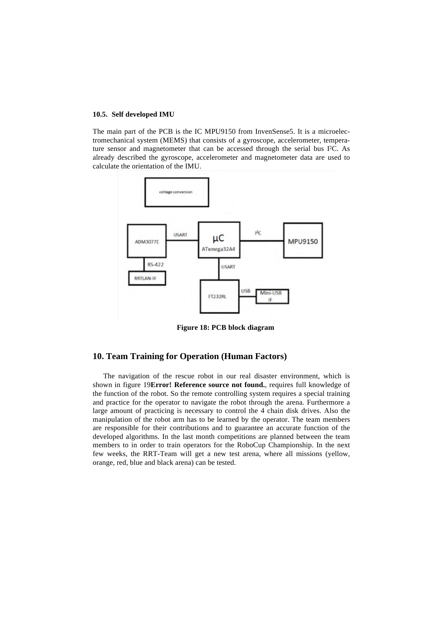#### **10.5. Self developed IMU**

The main part of the PCB is the IC MPU9150 from InvenSense5. It is a microelectromechanical system (MEMS) that consists of a gyroscope, accelerometer, temperature sensor and magnetometer that can be accessed through the serial bus I²C. As already described the gyroscope, accelerometer and magnetometer data are used to calculate the orientation of the IMU.



**Figure 18: PCB block diagram**

## **10. Team Training for Operation (Human Factors)**

The navigation of the rescue robot in our real disaster environment, which is shown in figure 19**Error! Reference source not found.**, requires full knowledge of the function of the robot. So the remote controlling system requires a special training and practice for the operator to navigate the robot through the arena. Furthermore a large amount of practicing is necessary to control the 4 chain disk drives. Also the manipulation of the robot arm has to be learned by the operator. The team members are responsible for their contributions and to guarantee an accurate function of the developed algorithms. In the last month competitions are planned between the team members to in order to train operators for the RoboCup Championship. In the next few weeks, the RRT-Team will get a new test arena, where all missions (yellow, orange, red, blue and black arena) can be tested.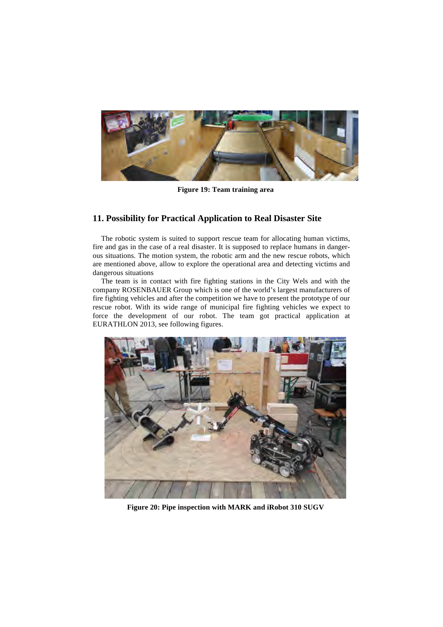

**Figure 19: Team training area**

# **11. Possibility for Practical Application to Real Disaster Site**

The robotic system is suited to support rescue team for allocating human victims, fire and gas in the case of a real disaster. It is supposed to replace humans in dangerous situations. The motion system, the robotic arm and the new rescue robots, which are mentioned above, allow to explore the operational area and detecting victims and dangerous situations

The team is in contact with fire fighting stations in the City Wels and with the company ROSENBAUER Group which is one of the world's largest manufacturers of fire fighting vehicles and after the competition we have to present the prototype of our rescue robot. With its wide range of municipal fire fighting vehicles we expect to force the development of our robot. The team got practical application at EURATHLON 2013, see following figures.



**Figure 20: Pipe inspection with MARK and iRobot 310 SUGV**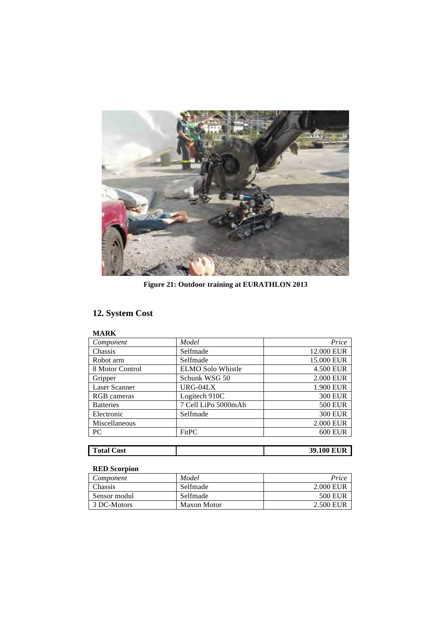

**Figure 21: Outdoor training at EURATHLON 2013**

# **12. System Cost**

| Component            | Model                    | Price          |
|----------------------|--------------------------|----------------|
| Chassis              | Selfmade                 | 12.000 EUR     |
| Robot arm            | Selfmade                 | 15.000 EUR     |
| 8 Motor Control      | <b>ELMO Solo Whistle</b> | 4.500 EUR      |
| Gripper              | Schunk WSG 50            | 2.000 EUR      |
| <b>Laser Scanner</b> | URG-04LX                 | 1.900 EUR      |
| RGB cameras          | Logitech 910C            | <b>300 EUR</b> |
| <b>Batteries</b>     | 7 Cell LiPo 5000mAh      | <b>500 EUR</b> |
| Electronic           | Selfmade                 | <b>300 EUR</b> |
| Miscellaneous        |                          | 2.000 EUR      |
| <b>PC</b>            | FitPC                    | <b>600 EUR</b> |
|                      |                          |                |

| <b>Total Cost</b> | <b>39.100 EUR</b> |
|-------------------|-------------------|
|                   |                   |

# **RED Scorpion**

| Component    | Model       | Price          |
|--------------|-------------|----------------|
| Chassis      | Selfmade    | 2.000 EUR      |
| Sensor modul | Selfmade    | <b>500 EUR</b> |
| 3 DC-Motors  | Maxon Motor | 2.500 EUR      |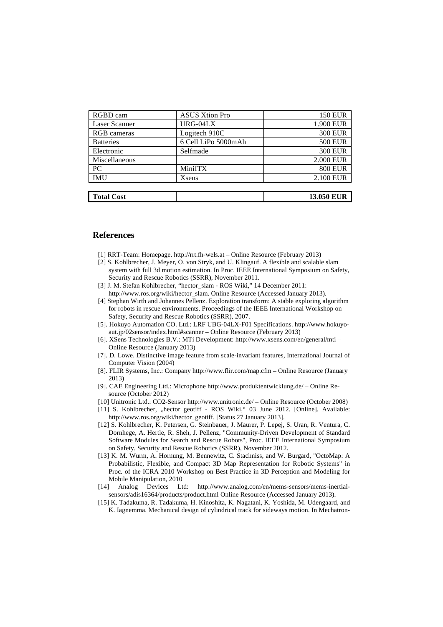| <b>Total Cost</b> |                       | <b>13.050 EUR</b> |
|-------------------|-----------------------|-------------------|
|                   |                       |                   |
| <b>IMU</b>        | Xsens                 | 2.100 EUR         |
| PC                | MiniITX               | <b>800 EUR</b>    |
| Miscellaneous     |                       | 2.000 EUR         |
| Electronic        | Selfmade              | <b>300 EUR</b>    |
| <b>Batteries</b>  | 6 Cell LiPo 5000mAh   | <b>500 EUR</b>    |
| RGB cameras       | Logitech 910C         | <b>300 EUR</b>    |
| Laser Scanner     | URG-04LX              | 1.900 EUR         |
| RGBD cam          | <b>ASUS Xtion Pro</b> | <b>150 EUR</b>    |

## **References**

- [1] RRT-Team: Homepage. http://rrt.fh-wels.at Online Resource (February 2013)
- [2] S. Kohlbrecher, J. Meyer, O. von Stryk, and U. Klingauf. A flexible and scalable slam system with full 3d motion estimation. In Proc. IEEE International Symposium on Safety, Security and Rescue Robotics (SSRR), November 2011.
- [3] J. M. Stefan Kohlbrecher, "hector\_slam ROS Wiki," 14 December 2011: http://www.ros.org/wiki/hector\_slam. Online Resource (Accessed January 2013).
- [4] Stephan Wirth and Johannes Pellenz. Exploration transform: A stable exploring algorithm for robots in rescue environments. Proceedings of the IEEE International Workshop on Safety, Security and Rescue Robotics (SSRR), 2007.
- [5]. Hokuyo Automation CO. Ltd.: LRF UBG-04LX-F01 Specifications. http://www.hokuyoaut.jp/02sensor/index.html#scanner – Online Resource (February 2013)
- [6]. XSens Technologies B.V.: MTi Development: http://www.xsens.com/en/general/mti Online Resource (January 2013)
- [7]. D. Lowe. Distinctive image feature from scale-invariant features, International Journal of Computer Vision (2004)
- [8]. FLIR Systems, Inc.: Company http://www.flir.com/map.cfm Online Resource (January 2013)
- [9]. CAE Engineering Ltd.: Microphone http://www.produktentwicklung.de/ Online Resource (October 2012)
- [10] Unitronic Ltd.: CO2-Sensor http://www.unitronic.de/ Online Resource (October 2008)
- [11] S. Kohlbrecher, "hector\_geotiff ROS Wiki," 03 June 2012. [Online]. Available: http://www.ros.org/wiki/hector\_geotiff. [Status 27 January 2013].
- [12] S. Kohlbrecher, K. Petersen, G. Steinbauer, J. Maurer, P. Lepej, S. Uran, R. Ventura, C. Dornhege, A. Hertle, R. Sheh, J. Pellenz, "Community-Driven Development of Standard Software Modules for Search and Rescue Robots", Proc. IEEE International Symposium on Safety, Security and Rescue Robotics (SSRR), November 2012.
- [13] K. M. Wurm, A. Hornung, M. Bennewitz, C. Stachniss, and W. Burgard, "OctoMap: A Probabilistic, Flexible, and Compact 3D Map Representation for Robotic Systems" in Proc. of the ICRA 2010 Workshop on Best Practice in 3D Perception and Modeling for Mobile Manipulation, 2010
- [14] Analog Devices Ltd: http://www.analog.com/en/mems-sensors/mems-inertialsensors/adis16364/products/product.html Online Resource (Accessed January 2013).
- [15] K. Tadakuma, R. Tadakuma, H. Kinoshita, K. Nagatani, K. Yoshida, M. Udengaard, and K. Iagnemma. Mechanical design of cylindrical track for sideways motion. In Mechatron-